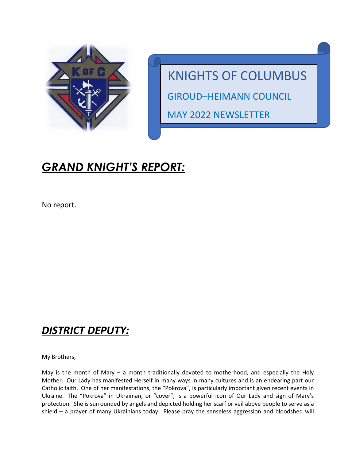

KNIGHTS OF COLUMBUS GIROUD–HEIMANN COUNCIL MAY 2022 NEWSLETTER

## *GRAND KNIGHT'S REPORT:*

No report.

#### *DISTRICT DEPUTY:*

My Brothers,

May is the month of Mary – a month traditionally devoted to motherhood, and especially the Holy Mother. Our Lady has manifested Herself in many ways in many cultures and is an endearing part our Catholic faith. One of her manifestations, the "Pokrova", is particularly important given recent events in Ukraine. The "Pokrova" in Ukrainian, or "cover", is a powerful icon of Our Lady and sign of Mary's protection. She is surrounded by angels and depicted holding her scarf or veil above people to serve as a shield – a prayer of many Ukrainians today. Please pray the senseless aggression and bloodshed will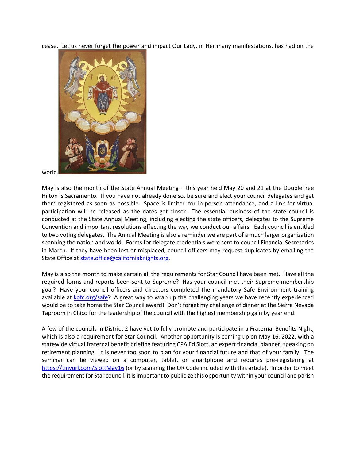cease. Let us never forget the power and impact Our Lady, in Her many manifestations, has had on the



world.

May is also the month of the State Annual Meeting – this year held May 20 and 21 at the DoubleTree Hilton is Sacramento. If you have not already done so, be sure and elect your council delegates and get them registered as soon as possible. Space is limited for in-person attendance, and a link for virtual participation will be released as the dates get closer. The essential business of the state council is conducted at the State Annual Meeting, including electing the state officers, delegates to the Supreme Convention and important resolutions effecting the way we conduct our affairs. Each council is entitled to two voting delegates. The Annual Meeting is also a reminder we are part of a much larger organization spanning the nation and world. Forms for delegate credentials were sent to council Financial Secretaries in March. If they have been lost or misplaced, council officers may request duplicates by emailing the State Office at [state.office@californiaknights.org.](mailto:state.office@californiaknights.org)

May is also the month to make certain all the requirements for Star Council have been met. Have all the required forms and reports been sent to Supreme? Has your council met their Supreme membership goal? Have your council officers and directors completed the mandatory Safe Environment training available at [kofc.org/safe?](https://www.kofc.org/safe) A great way to wrap up the challenging years we have recently experienced would be to take home the Star Council award! Don't forget my challenge of dinner at the Sierra Nevada Taproom in Chico for the leadership of the council with the highest membership gain by year end.

A few of the councils in District 2 have yet to fully promote and participate in a Fraternal Benefits Night, which is also a requirement for Star Council. Another opportunity is coming up on May 16, 2022, with a statewide virtual fraternal benefit briefing featuring CPA Ed Slott, an expert financial planner, speaking on retirement planning. It is never too soon to plan for your financial future and that of your family. The seminar can be viewed on a computer, tablet, or smartphone and requires pre-registering at <https://tinyurl.com/SlottMay16> (or by scanning the QR Code included with this article). In order to meet the requirement for Star council, it is important to publicize this opportunity within your council and parish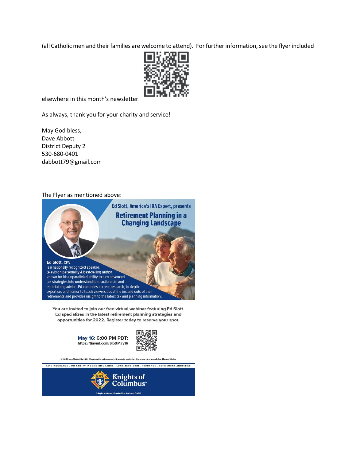(all Catholic men and their families are welcome to attend). For further information, see the flyer included



elsewhere in this month's newsletter.

As always, thank you for your charity and service!

May God bless, Dave Abbott District Deputy 2 530-680-0401 dabbott79@gmail.com

#### The Flyer as mentioned above:



You are invited to join our free virtual webinar featuring Ed Slott. Ed specializes in the latest retirement planning strategies and opportunities for 2022. Register today to reserve your spot.





Ed Slott, CPA is not afflikated with the Kuights of Colu ose of Knights of Columbu

LIFE INSURANCE - DISABILITY INCOME INSURANCE - LONG-TERM CARE INSURANCE - RETIREMENT ANNUITIES

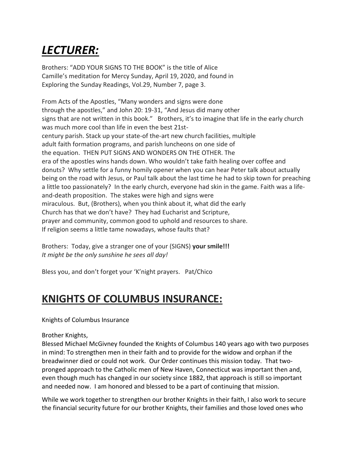# *LECTURER:*

Brothers: "ADD YOUR SIGNS TO THE BOOK" is the title of Alice Camille's meditation for Mercy Sunday, April 19, 2020, and found in Exploring the Sunday Readings, Vol.29, Number 7, page 3.

From Acts of the Apostles, "Many wonders and signs were done through the apostles," and John 20: 19-31, "And Jesus did many other signs that are not written in this book." Brothers, it's to imagine that life in the early church was much more cool than life in even the best 21stcentury parish. Stack up your state-of the-art new church facilities, multiple adult faith formation programs, and parish luncheons on one side of the equation. THEN PUT SIGNS AND WONDERS ON THE OTHER. The era of the apostles wins hands down. Who wouldn't take faith healing over coffee and donuts? Why settle for a funny homily opener when you can hear Peter talk about actually being on the road with Jesus, or Paul talk about the last time he had to skip town for preaching a little too passionately? In the early church, everyone had skin in the game. Faith was a lifeand-death proposition. The stakes were high and signs were miraculous. But, (Brothers), when you think about it, what did the early Church has that we don't have? They had Eucharist and Scripture, prayer and community, common good to uphold and resources to share. If religion seems a little tame nowadays, whose faults that?

Brothers: Today, give a stranger one of your (SIGNS) **your smile!!!** *It might be the only sunshine he sees all day!*

Bless you, and don't forget your 'K'night prayers. Pat/Chico

#### **KNIGHTS OF COLUMBUS INSURANCE:**

Knights of Columbus Insurance

Brother Knights,

Blessed Michael McGivney founded the Knights of Columbus 140 years ago with two purposes in mind: To strengthen men in their faith and to provide for the widow and orphan if the breadwinner died or could not work. Our Order continues this mission today. That twopronged approach to the Catholic men of New Haven, Connecticut was important then and, even though much has changed in our society since 1882, that approach is still so important and needed now. I am honored and blessed to be a part of continuing that mission.

While we work together to strengthen our brother Knights in their faith, I also work to secure the financial security future for our brother Knights, their families and those loved ones who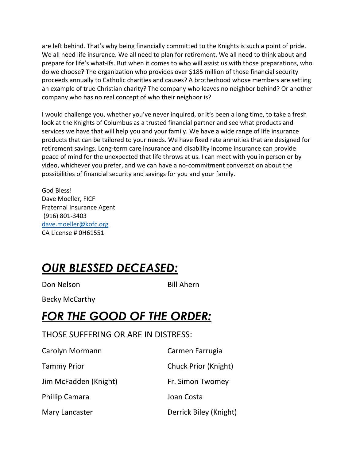are left behind. That's why being financially committed to the Knights is such a point of pride. We all need life insurance. We all need to plan for retirement. We all need to think about and prepare for life's what-ifs. But when it comes to who will assist us with those preparations, who do we choose? The organization who provides over \$185 million of those financial security proceeds annually to Catholic charities and causes? A brotherhood whose members are setting an example of true Christian charity? The company who leaves no neighbor behind? Or another company who has no real concept of who their neighbor is?

I would challenge you, whether you've never inquired, or it's been a long time, to take a fresh look at the Knights of Columbus as a trusted financial partner and see what products and services we have that will help you and your family. We have a wide range of life insurance products that can be tailored to your needs. We have fixed rate annuities that are designed for retirement savings. Long-term care insurance and disability income insurance can provide peace of mind for the unexpected that life throws at us. I can meet with you in person or by video, whichever you prefer, and we can have a no-commitment conversation about the possibilities of financial security and savings for you and your family.

God Bless! Dave Moeller, FICF Fraternal Insurance Agent (916) 801-3403 [dave.moeller@kofc.org](mailto:dave.moeller@kofc.org) CA License # 0H61551

### *OUR BLESSED DECEASED:*

Don Nelson Bill Ahern

Becky McCarthy

#### *FOR THE GOOD OF THE ORDER:*

#### THOSE SUFFERING OR ARE IN DISTRESS:

| Carolyn Mormann       | Carmen Farrugia        |
|-----------------------|------------------------|
| <b>Tammy Prior</b>    | Chuck Prior (Knight)   |
| Jim McFadden (Knight) | Fr. Simon Twomey       |
| <b>Phillip Camara</b> | Joan Costa             |
| Mary Lancaster        | Derrick Biley (Knight) |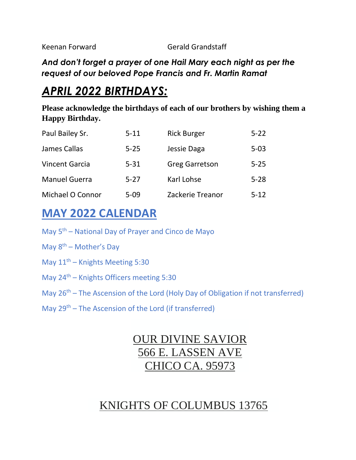Keenan Forward Gerald Grandstaff

*And don't forget a prayer of one Hail Mary each night as per the request of our beloved Pope Francis and Fr. Martin Ramat*

## *APRIL 2022 BIRTHDAYS:*

**Please acknowledge the birthdays of each of our brothers by wishing them a Happy Birthday.**

| Paul Bailey Sr.       | $5 - 11$ | <b>Rick Burger</b>    | $5 - 22$ |
|-----------------------|----------|-----------------------|----------|
| James Callas          | $5 - 25$ | Jessie Daga           | $5 - 03$ |
| <b>Vincent Garcia</b> | $5 - 31$ | <b>Greg Garretson</b> | $5 - 25$ |
| <b>Manuel Guerra</b>  | $5 - 27$ | Karl Lohse            | $5 - 28$ |
| Michael O Connor      | $5 - 09$ | Zackerie Treanor      | $5 - 12$ |

#### **MAY 2022 CALENDAR**

- May 5<sup>th</sup> National Day of Prayer and Cinco de Mayo
- May  $8^{th}$  Mother's Day
- May  $11<sup>th</sup>$  Knights Meeting 5:30
- May  $24<sup>th</sup>$  Knights Officers meeting 5:30
- May  $26<sup>th</sup>$  The Ascension of the Lord (Holy Day of Obligation if not transferred)
- May  $29<sup>th</sup>$  The Ascension of the Lord (if transferred)

#### OUR DIVINE SAVIOR 566 E. LASSEN AVE CHICO CA. 95973

### KNIGHTS OF COLUMBUS 13765